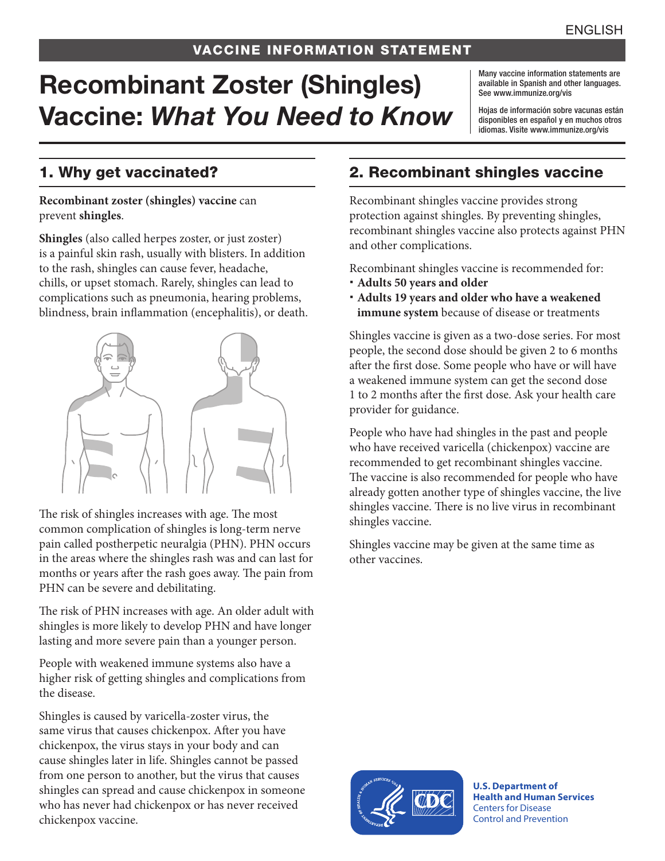#### VACCINE INFORMATION STATEMENT

# Recombinant Zoster (Shingles) Vaccine: *What You Need to Know*

Many vaccine information statements are available in Spanish and other languages. See [www.immunize.org/vis](http://www.immunize.org/vis)

Hojas de información sobre vacunas están disponibles en español y en muchos otros idiomas. Visite [www.immunize.org/vis](http://www.immunize.org/vis)

#### 1. Why get vaccinated?

#### **Recombinant zoster (shingles) vaccine** can prevent **shingles**.

**Shingles** (also called herpes zoster, or just zoster) is a painful skin rash, usually with blisters. In addition to the rash, shingles can cause fever, headache, chills, or upset stomach. Rarely, shingles can lead to complications such as pneumonia, hearing problems, blindness, brain inflammation (encephalitis), or death.



The risk of shingles increases with age. The most common complication of shingles is long-term nerve pain called postherpetic neuralgia (PHN). PHN occurs in the areas where the shingles rash was and can last for months or years after the rash goes away. The pain from PHN can be severe and debilitating.

The risk of PHN increases with age. An older adult with shingles is more likely to develop PHN and have longer lasting and more severe pain than a younger person.

People with weakened immune systems also have a higher risk of getting shingles and complications from the disease.

Shingles is caused by varicella-zoster virus, the same virus that causes chickenpox. After you have chickenpox, the virus stays in your body and can cause shingles later in life. Shingles cannot be passed from one person to another, but the virus that causes shingles can spread and cause chickenpox in someone who has never had chickenpox or has never received chickenpox vaccine.

#### 2. Recombinant shingles vaccine

Recombinant shingles vaccine provides strong protection against shingles. By preventing shingles, recombinant shingles vaccine also protects against PHN and other complications.

Recombinant shingles vaccine is recommended for:

- **Adults 50 years and older**
- **Adults 19 years and older who have a weakened immune system** because of disease or treatments

Shingles vaccine is given as a two-dose series. For most people, the second dose should be given 2 to 6 months after the first dose. Some people who have or will have a weakened immune system can get the second dose 1 to 2 months after the first dose. Ask your health care provider for guidance.

People who have had shingles in the past and people who have received varicella (chickenpox) vaccine are recommended to get recombinant shingles vaccine. The vaccine is also recommended for people who have already gotten another type of shingles vaccine, the live shingles vaccine. There is no live virus in recombinant shingles vaccine.

Shingles vaccine may be given at the same time as other vaccines.



**U.S. Department of Health and Human Services**  Centers for Disease Control and Prevention